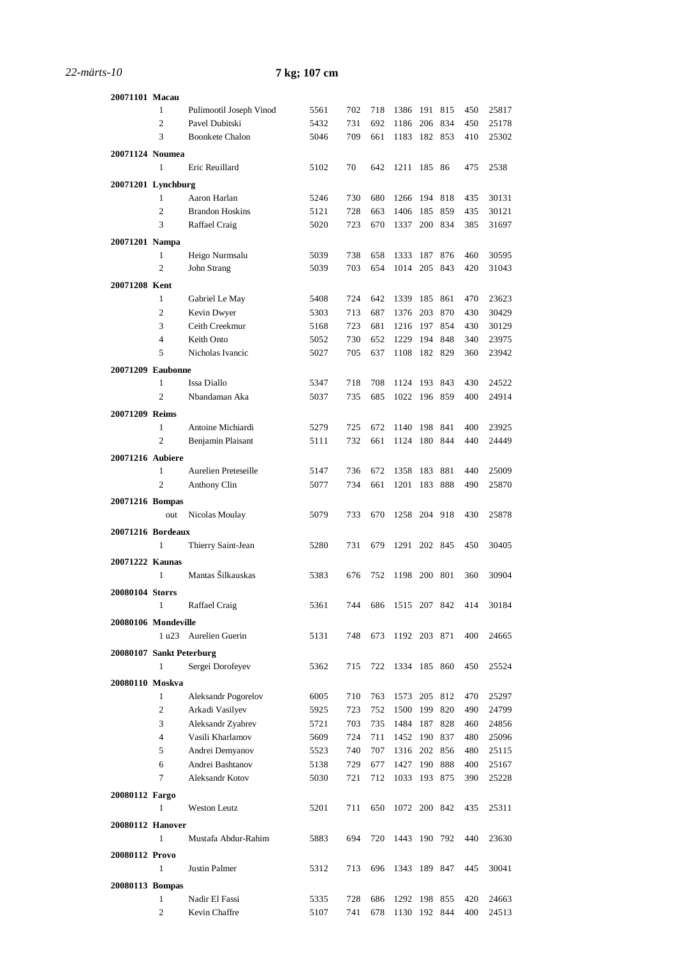## *22-märts-10* **7 kg; 107 cm**

| 20071101 Macau           |                |                            |      |     |     |              |         |         |     |       |
|--------------------------|----------------|----------------------------|------|-----|-----|--------------|---------|---------|-----|-------|
|                          | 1              | Pulimootil Joseph Vinod    | 5561 | 702 | 718 | 1386         | 191     | 815     | 450 | 25817 |
|                          | $\overline{2}$ | Pavel Dubitski             | 5432 | 731 | 692 | 1186         | 206     | 834     | 450 | 25178 |
|                          | 3              | <b>Boonkete Chalon</b>     | 5046 | 709 | 661 | 1183         |         | 182 853 | 410 | 25302 |
|                          |                |                            |      |     |     |              |         |         |     |       |
| 20071124 Noumea          |                |                            |      |     |     |              |         |         |     |       |
|                          | $\mathbf{1}$   | Eric Reuillard             | 5102 | 70  | 642 | 1211 185 86  |         |         | 475 | 2538  |
| 20071201 Lynchburg       |                |                            |      |     |     |              |         |         |     |       |
|                          | 1              | Aaron Harlan               | 5246 | 730 | 680 | 1266         | 194     | 818     | 435 | 30131 |
|                          | 2              | <b>Brandon Hoskins</b>     | 5121 | 728 | 663 | 1406         | 185     | 859     | 435 | 30121 |
|                          | 3              | Raffael Craig              | 5020 | 723 | 670 | 1337         |         | 200 834 | 385 | 31697 |
| 20071201 Nampa           |                |                            |      |     |     |              |         |         |     |       |
|                          | $\mathbf{1}$   | Heigo Nurmsalu             | 5039 | 738 | 658 | 1333         | 187     | 876     | 460 | 30595 |
|                          | $\overline{2}$ | John Strang                | 5039 | 703 | 654 | 1014         | 205     | 843     | 420 | 31043 |
| 20071208 Kent            |                |                            |      |     |     |              |         |         |     |       |
|                          | 1              | Gabriel Le May             | 5408 | 724 | 642 | 1339         | 185     | 861     | 470 | 23623 |
|                          | $\mathfrak{2}$ | Kevin Dwyer                | 5303 | 713 | 687 | 1376         | 203     | 870     | 430 | 30429 |
|                          | 3              | Ceith Creekmur             | 5168 | 723 | 681 | 1216         | 197     | 854     | 430 | 30129 |
|                          | $\overline{4}$ | Keith Onto                 | 5052 | 730 | 652 | 1229         | 194     | 848     | 340 | 23975 |
|                          | 5              | Nicholas Ivancic           | 5027 | 705 | 637 | 1108         | 182 829 |         | 360 | 23942 |
| 20071209 Eaubonne        |                |                            |      |     |     |              |         |         |     |       |
|                          | 1              | Issa Diallo                | 5347 | 718 | 708 | 1124         | 193     | 843     | 430 | 24522 |
|                          | $\overline{2}$ | Nbandaman Aka              | 5037 | 735 | 685 | 1022         |         | 196 859 | 400 | 24914 |
|                          |                |                            |      |     |     |              |         |         |     |       |
| 20071209 Reims           |                |                            |      |     |     |              |         |         |     |       |
|                          | 1              | Antoine Michiardi          | 5279 | 725 | 672 | 1140         | 198     | 841     | 400 | 23925 |
|                          | $\mathfrak{2}$ | Benjamin Plaisant          | 5111 | 732 | 661 | 1124         | 180     | 844     | 440 | 24449 |
| 20071216 Aubiere         |                |                            |      |     |     |              |         |         |     |       |
|                          | 1              | Aurelien Preteseille       | 5147 | 736 | 672 | 1358         | 183     | 881     | 440 | 25009 |
|                          | $\mathfrak{2}$ | Anthony Clin               | 5077 | 734 | 661 | 1201         | 183     | 888     | 490 | 25870 |
| 20071216 Bompas          |                |                            |      |     |     |              |         |         |     |       |
|                          | out            | Nicolas Moulay             | 5079 | 733 | 670 | 1258         | 204 918 |         | 430 | 25878 |
| 20071216 Bordeaux        |                |                            |      |     |     |              |         |         |     |       |
|                          | 1              | Thierry Saint-Jean         | 5280 | 731 | 679 | 1291 202 845 |         |         | 450 | 30405 |
| 20071222 Kaunas          |                |                            |      |     |     |              |         |         |     |       |
|                          | 1              | Mantas Šilkauskas          | 5383 | 676 | 752 | 1198         | 200 801 |         | 360 | 30904 |
|                          |                |                            |      |     |     |              |         |         |     |       |
| 20080104 Storrs          | 1              |                            |      |     |     | 1515 207 842 |         |         |     |       |
|                          |                | Raffael Craig              | 5361 | 744 | 686 |              |         |         | 414 | 30184 |
| 20080106 Mondeville      |                |                            |      |     |     |              |         |         |     |       |
|                          |                | 1 u23 Aurelien Guerin      | 5131 | 748 | 673 | 1192 203 871 |         |         | 400 | 24665 |
| 20080107 Sankt Peterburg |                |                            |      |     |     |              |         |         |     |       |
|                          | 1              | Sergei Dorofeyev           | 5362 | 715 | 722 | 1334 185 860 |         |         | 450 | 25524 |
| 20080110 Moskva          |                |                            |      |     |     |              |         |         |     |       |
|                          | $\mathbf{1}$   | <b>Aleksandr Pogorelov</b> | 6005 | 710 | 763 | 1573         | 205     | 812     | 470 | 25297 |
|                          | $\overline{c}$ | Arkadi Vasilyev            | 5925 | 723 | 752 | 1500         | 199     | 820     | 490 | 24799 |
|                          | 3              | Aleksandr Zyabrev          | 5721 | 703 | 735 | 1484         | 187     | 828     | 460 | 24856 |
|                          | $\overline{4}$ | Vasili Kharlamov           | 5609 | 724 | 711 | 1452 190     |         | 837     | 480 | 25096 |
|                          | 5              | Andrei Demyanov            | 5523 | 740 | 707 | 1316 202 856 |         |         | 480 | 25115 |
|                          | 6              | Andrei Bashtanov           | 5138 | 729 | 677 | 1427         |         | 190 888 | 400 | 25167 |
|                          | 7              | Aleksandr Kotov            | 5030 | 721 | 712 | 1033 193 875 |         |         | 390 | 25228 |
| 20080112 Fargo           |                |                            |      |     |     |              |         |         |     |       |
|                          | $\mathbf{1}$   | <b>Weston Leutz</b>        | 5201 | 711 | 650 | 1072 200 842 |         |         | 435 | 25311 |
| 20080112 Hanover         |                |                            |      |     |     |              |         |         |     |       |
|                          | 1              | Mustafa Abdur-Rahim        | 5883 | 694 | 720 | 1443 190 792 |         |         | 440 | 23630 |
|                          |                |                            |      |     |     |              |         |         |     |       |
| 20080112 Provo           |                |                            |      |     |     |              |         |         |     |       |
|                          | 1              | Justin Palmer              | 5312 | 713 | 696 | 1343 189 847 |         |         | 445 | 30041 |
| 20080113 Bompas          |                |                            |      |     |     |              |         |         |     |       |
|                          | 1              | Nadir El Fassi             | 5335 | 728 | 686 | 1292 198 855 |         |         | 420 | 24663 |
|                          | 2              | Kevin Chaffre              | 5107 | 741 | 678 | 1130 192 844 |         |         | 400 | 24513 |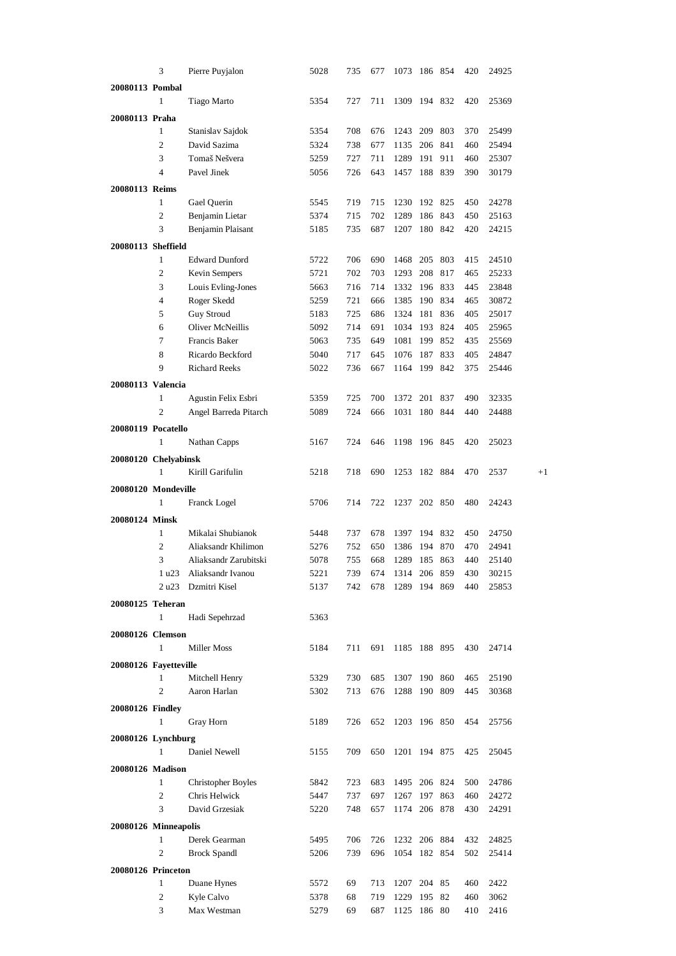|                       | 3              | Pierre Puyjalon                  | 5028         | 735 | 677        | 1073         | 186 854 |     | 420 | 24925 |      |
|-----------------------|----------------|----------------------------------|--------------|-----|------------|--------------|---------|-----|-----|-------|------|
| 20080113 Pombal       |                |                                  |              |     |            |              |         |     |     |       |      |
|                       | 1              | Tiago Marto                      | 5354         | 727 | 711        | 1309 194 832 |         |     | 420 | 25369 |      |
|                       |                |                                  |              |     |            |              |         |     |     |       |      |
| 20080113 Praha        | 1              |                                  |              | 708 |            | 1243         | 209     | 803 | 370 | 25499 |      |
|                       | $\overline{2}$ | Stanislav Sajdok<br>David Sazima | 5354         |     | 676<br>677 |              | 206     | 841 |     |       |      |
|                       | 3              |                                  | 5324         | 738 |            | 1135         |         |     | 460 | 25494 |      |
|                       |                | Tomaš Nešvera                    | 5259         | 727 | 711        | 1289         | 191     | 911 | 460 | 25307 |      |
|                       | 4              | Pavel Jinek                      | 5056         | 726 | 643        | 1457         | 188     | 839 | 390 | 30179 |      |
| 20080113 Reims        |                |                                  |              |     |            |              |         |     |     |       |      |
|                       | 1              | Gael Querin                      | 5545         | 719 | 715        | 1230         | 192 825 |     | 450 | 24278 |      |
|                       | 2              | Benjamin Lietar                  | 5374         | 715 | 702        | 1289         | 186     | 843 | 450 | 25163 |      |
|                       | 3              | Benjamin Plaisant                | 5185         | 735 | 687        | 1207         | 180 842 |     | 420 | 24215 |      |
| 20080113 Sheffield    |                |                                  |              |     |            |              |         |     |     |       |      |
|                       | 1              | <b>Edward Dunford</b>            | 5722         | 706 | 690        | 1468         | 205     | 803 | 415 | 24510 |      |
|                       | $\mathfrak{2}$ | Kevin Sempers                    | 5721         | 702 | 703        | 1293         | 208     | 817 | 465 | 25233 |      |
|                       | 3              | Louis Evling-Jones               | 5663         | 716 | 714        | 1332         | 196 833 |     | 445 | 23848 |      |
|                       | $\overline{4}$ | Roger Skedd                      | 5259         | 721 | 666        | 1385         | 190 834 |     | 465 | 30872 |      |
|                       | 5              | <b>Guy Stroud</b>                | 5183         | 725 | 686        | 1324         | 181     | 836 | 405 | 25017 |      |
|                       | 6              | <b>Oliver McNeillis</b>          | 5092         | 714 | 691        | 1034 193     |         | 824 | 405 | 25965 |      |
|                       | 7              | Francis Baker                    | 5063         | 735 | 649        | 1081         | 199     | 852 | 435 | 25569 |      |
|                       | 8              | Ricardo Beckford                 | 5040         | 717 | 645        | 1076         | 187     | 833 | 405 | 24847 |      |
|                       | 9              | <b>Richard Reeks</b>             | 5022         | 736 | 667        | 1164 199     |         | 842 | 375 | 25446 |      |
|                       |                |                                  |              |     |            |              |         |     |     |       |      |
| 20080113 Valencia     | 1              |                                  |              | 725 | 700        | 1372         | 201     | 837 | 490 | 32335 |      |
|                       | 2              | Agustin Felix Esbri              | 5359<br>5089 | 724 | 666        | 1031 180 844 |         |     | 440 | 24488 |      |
|                       |                | Angel Barreda Pitarch            |              |     |            |              |         |     |     |       |      |
| 20080119 Pocatello    |                |                                  |              |     |            |              |         |     |     |       |      |
|                       | 1              | Nathan Capps                     | 5167         | 724 | 646        | 1198 196 845 |         |     | 420 | 25023 |      |
| 20080120 Chelyabinsk  |                |                                  |              |     |            |              |         |     |     |       |      |
|                       | $\mathbf{1}$   | Kirill Garifulin                 | 5218         | 718 | 690        | 1253 182 884 |         |     | 470 | 2537  | $+1$ |
| 20080120 Mondeville   |                |                                  |              |     |            |              |         |     |     |       |      |
|                       | 1              | Franck Logel                     | 5706         | 714 | 722        | 1237 202 850 |         |     | 480 | 24243 |      |
| 20080124 Minsk        |                |                                  |              |     |            |              |         |     |     |       |      |
|                       | $\mathbf{1}$   | Mikalai Shubianok                | 5448         | 737 | 678        | 1397         | 194     | 832 | 450 | 24750 |      |
|                       | 2              | Aliaksandr Khilimon              | 5276         | 752 | 650        | 1386         | 194     | 870 | 470 | 24941 |      |
|                       | 3              | Aliaksandr Zarubitski            | 5078         | 755 | 668        | 1289         | 185     | 863 | 440 | 25140 |      |
|                       |                | 1 u23 Aliaksandr Ivanou          | 5221         | 739 | 674        | 1314 206 859 |         |     | 430 | 30215 |      |
|                       |                | 2 u23 Dzmitri Kisel              | 5137         | 742 | 678        | 1289 194 869 |         |     | 440 | 25853 |      |
|                       |                |                                  |              |     |            |              |         |     |     |       |      |
| 20080125 Teheran      |                |                                  |              |     |            |              |         |     |     |       |      |
|                       | $\mathbf{1}$   | Hadi Sepehrzad                   | 5363         |     |            |              |         |     |     |       |      |
| 20080126 Clemson      |                |                                  |              |     |            |              |         |     |     |       |      |
|                       | $\mathbf{1}$   | Miller Moss                      | 5184         | 711 | 691        | 1185 188 895 |         |     | 430 | 24714 |      |
| 20080126 Fayetteville |                |                                  |              |     |            |              |         |     |     |       |      |
|                       | $\mathbf{1}$   | Mitchell Henry                   | 5329         | 730 | 685        | 1307 190 860 |         |     | 465 | 25190 |      |
|                       | $\mathfrak{2}$ | Aaron Harlan                     | 5302         | 713 | 676        | 1288 190 809 |         |     | 445 | 30368 |      |
| 20080126 Findley      |                |                                  |              |     |            |              |         |     |     |       |      |
|                       | 1              | Gray Horn                        | 5189         | 726 | 652        | 1203 196 850 |         |     | 454 | 25756 |      |
|                       |                |                                  |              |     |            |              |         |     |     |       |      |
| 20080126 Lynchburg    |                |                                  |              |     |            |              |         |     |     |       |      |
|                       | $\mathbf{1}$   | Daniel Newell                    | 5155         | 709 | 650        | 1201 194 875 |         |     | 425 | 25045 |      |
| 20080126 Madison      |                |                                  |              |     |            |              |         |     |     |       |      |
|                       | 1              | <b>Christopher Boyles</b>        | 5842         | 723 | 683        | 1495 206 824 |         |     | 500 | 24786 |      |
|                       | $\mathfrak{2}$ | Chris Helwick                    | 5447         | 737 | 697        | 1267 197 863 |         |     | 460 | 24272 |      |
|                       | 3              | David Grzesiak                   | 5220         | 748 | 657        | 1174 206 878 |         |     | 430 | 24291 |      |
| 20080126 Minneapolis  |                |                                  |              |     |            |              |         |     |     |       |      |
|                       | $\mathbf{1}$   | Derek Gearman                    | 5495         | 706 | 726        | 1232 206 884 |         |     | 432 | 24825 |      |
|                       | 2              | <b>Brock Spandl</b>              | 5206         | 739 | 696        | 1054 182 854 |         |     | 502 | 25414 |      |
| 20080126 Princeton    |                |                                  |              |     |            |              |         |     |     |       |      |
|                       | 1              | Duane Hynes                      | 5572         | 69  | 713        | 1207 204 85  |         |     | 460 | 2422  |      |
|                       | $\mathbf{2}$   | Kyle Calvo                       |              | 68  |            | 1229 195     |         | 82  | 460 | 3062  |      |
|                       | 3              | Max Westman                      | 5378<br>5279 | 69  | 719<br>687 | 1125 186 80  |         |     | 410 | 2416  |      |
|                       |                |                                  |              |     |            |              |         |     |     |       |      |